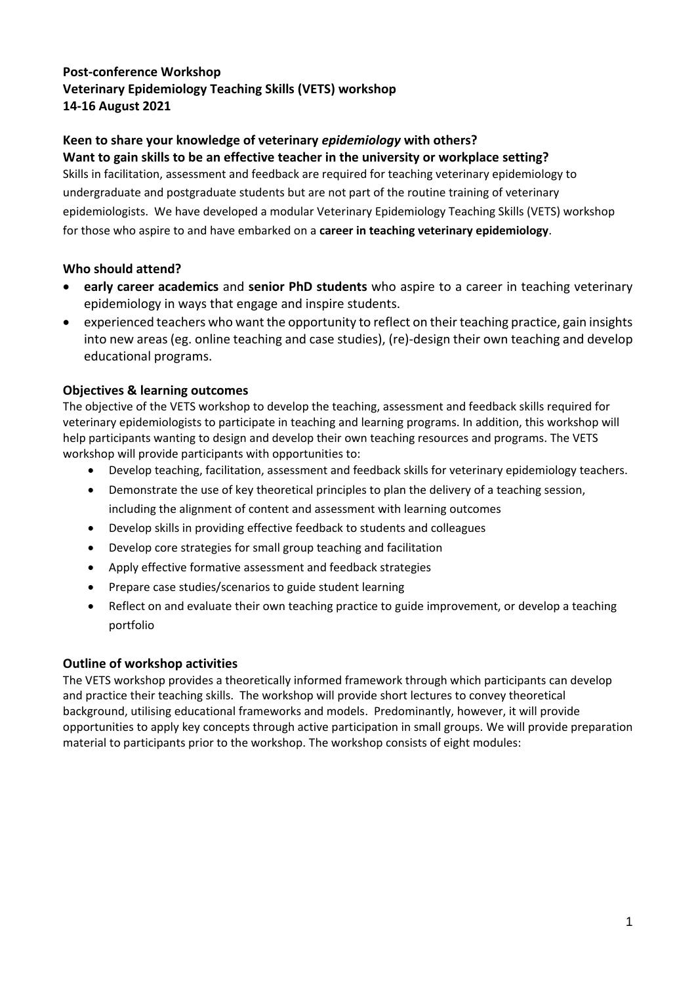## **Post-conference Workshop Veterinary Epidemiology Teaching Skills (VETS) workshop 14-16 August 2021**

# **Keen to share your knowledge of veterinary** *epidemiology* **with others?**

**Want to gain skills to be an effective teacher in the university or workplace setting?** Skills in facilitation, assessment and feedback are required for teaching veterinary epidemiology to undergraduate and postgraduate students but are not part of the routine training of veterinary epidemiologists. We have developed a modular Veterinary Epidemiology Teaching Skills (VETS) workshop for those who aspire to and have embarked on a **career in teaching veterinary epidemiology**.

### **Who should attend?**

- **early career academics** and **senior PhD students** who aspire to a career in teaching veterinary epidemiology in ways that engage and inspire students.
- experienced teachers who want the opportunity to reflect on their teaching practice, gain insights into new areas (eg. online teaching and case studies), (re)-design their own teaching and develop educational programs.

### **Objectives & learning outcomes**

The objective of the VETS workshop to develop the teaching, assessment and feedback skills required for veterinary epidemiologists to participate in teaching and learning programs. In addition, this workshop will help participants wanting to design and develop their own teaching resources and programs. The VETS workshop will provide participants with opportunities to:

- Develop teaching, facilitation, assessment and feedback skills for veterinary epidemiology teachers.
- Demonstrate the use of key theoretical principles to plan the delivery of a teaching session, including the alignment of content and assessment with learning outcomes
- Develop skills in providing effective feedback to students and colleagues
- Develop core strategies for small group teaching and facilitation
- Apply effective formative assessment and feedback strategies
- Prepare case studies/scenarios to guide student learning
- Reflect on and evaluate their own teaching practice to guide improvement, or develop a teaching portfolio

### **Outline of workshop activities**

The VETS workshop provides a theoretically informed framework through which participants can develop and practice their teaching skills. The workshop will provide short lectures to convey theoretical background, utilising educational frameworks and models. Predominantly, however, it will provide opportunities to apply key concepts through active participation in small groups. We will provide preparation material to participants prior to the workshop. The workshop consists of eight modules: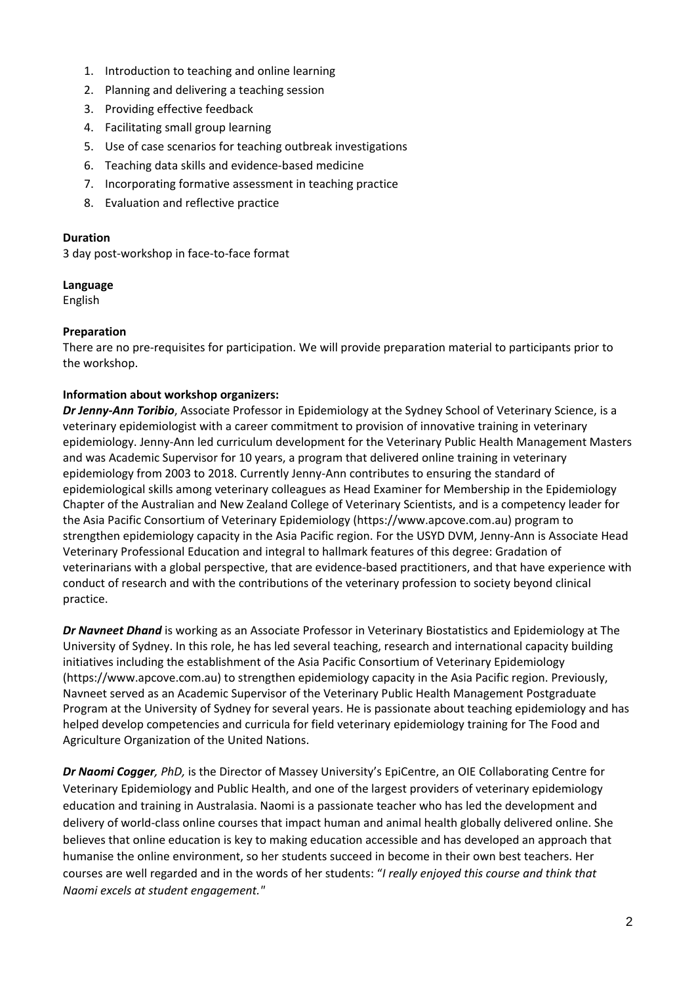- 1. Introduction to teaching and online learning
- 2. Planning and delivering a teaching session
- 3. Providing effective feedback
- 4. Facilitating small group learning
- 5. Use of case scenarios for teaching outbreak investigations
- 6. Teaching data skills and evidence-based medicine
- 7. Incorporating formative assessment in teaching practice
- 8. Evaluation and reflective practice

#### **Duration**

3 day post-workshop in face-to-face format

### **Language**

English

### **Preparation**

There are no pre-requisites for participation. We will provide preparation material to participants prior to the workshop.

### **Information about workshop organizers:**

*Dr Jenny-Ann Toribio*, Associate Professor in Epidemiology at the Sydney School of Veterinary Science, is a veterinary epidemiologist with a career commitment to provision of innovative training in veterinary epidemiology. Jenny-Ann led curriculum development for the Veterinary Public Health Management Masters and was Academic Supervisor for 10 years, a program that delivered online training in veterinary epidemiology from 2003 to 2018. Currently Jenny-Ann contributes to ensuring the standard of epidemiological skills among veterinary colleagues as Head Examiner for Membership in the Epidemiology Chapter of the Australian and New Zealand College of Veterinary Scientists, and is a competency leader for the Asia Pacific Consortium of Veterinary Epidemiology (https://www.apcove.com.au) program to strengthen epidemiology capacity in the Asia Pacific region. For the USYD DVM, Jenny-Ann is Associate Head Veterinary Professional Education and integral to hallmark features of this degree: Gradation of veterinarians with a global perspective, that are evidence-based practitioners, and that have experience with conduct of research and with the contributions of the veterinary profession to society beyond clinical practice.

*Dr Navneet Dhand* is working as an Associate Professor in Veterinary Biostatistics and Epidemiology at The University of Sydney. In this role, he has led several teaching, research and international capacity building initiatives including the establishment of the Asia Pacific Consortium of Veterinary Epidemiology (https://www.apcove.com.au) to strengthen epidemiology capacity in the Asia Pacific region. Previously, Navneet served as an Academic Supervisor of the Veterinary Public Health Management Postgraduate Program at the University of Sydney for several years. He is passionate about teaching epidemiology and has helped develop competencies and curricula for field veterinary epidemiology training for The Food and Agriculture Organization of the United Nations.

*Dr Naomi Cogger, PhD,* is the Director of Massey University's EpiCentre, an OIE Collaborating Centre for Veterinary Epidemiology and Public Health, and one of the largest providers of veterinary epidemiology education and training in Australasia. Naomi is a passionate teacher who has led the development and delivery of world-class online courses that impact human and animal health globally delivered online. She believes that online education is key to making education accessible and has developed an approach that humanise the online environment, so her students succeed in become in their own best teachers. Her courses are well regarded and in the words of her students: "*I really enjoyed this course and think that Naomi excels at student engagement."*